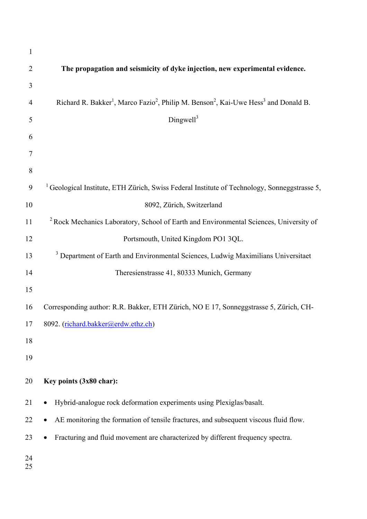| $\mathbf{1}$   |                                                                                                                                     |
|----------------|-------------------------------------------------------------------------------------------------------------------------------------|
| $\overline{2}$ | The propagation and seismicity of dyke injection, new experimental evidence.                                                        |
| 3              |                                                                                                                                     |
| $\overline{4}$ | Richard R. Bakker <sup>1</sup> , Marco Fazio <sup>2</sup> , Philip M. Benson <sup>2</sup> , Kai-Uwe Hess <sup>3</sup> and Donald B. |
| 5              | Dinguell <sup>3</sup>                                                                                                               |
| 6              |                                                                                                                                     |
| 7              |                                                                                                                                     |
| 8              |                                                                                                                                     |
| 9              | <sup>1</sup> Geological Institute, ETH Zürich, Swiss Federal Institute of Technology, Sonneggstrasse 5,                             |
| 10             | 8092, Zürich, Switzerland                                                                                                           |
| 11             | <sup>2</sup> Rock Mechanics Laboratory, School of Earth and Environmental Sciences, University of                                   |
| 12             | Portsmouth, United Kingdom PO1 3QL.                                                                                                 |
| 13             | <sup>3</sup> Department of Earth and Environmental Sciences, Ludwig Maximilians Universitaet                                        |
| 14             | Theresienstrasse 41, 80333 Munich, Germany                                                                                          |
| 15             |                                                                                                                                     |
| 16             | Corresponding author: R.R. Bakker, ETH Zürich, NO E 17, Sonneggstrasse 5, Zürich, CH-                                               |
| 17             | 8092. (richard.bakker@erdw.ethz.ch)                                                                                                 |
| 18             |                                                                                                                                     |
| 19             |                                                                                                                                     |
| 20             | Key points (3x80 char):                                                                                                             |
| 21             | Hybrid-analogue rock deformation experiments using Plexiglas/basalt.<br>$\bullet$                                                   |
| 22             | AE monitoring the formation of tensile fractures, and subsequent viscous fluid flow.                                                |
| 23             | Fracturing and fluid movement are characterized by different frequency spectra.<br>$\bullet$                                        |
| 24<br>25       |                                                                                                                                     |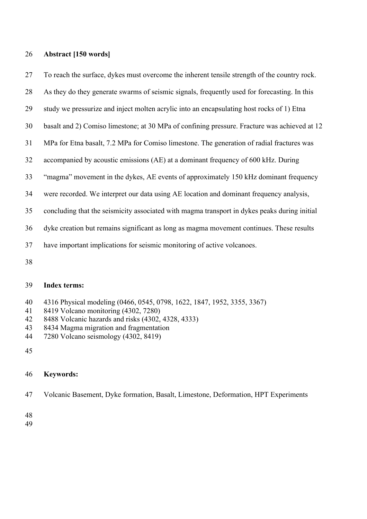#### **Abstract [150 words]**

To reach the surface, dykes must overcome the inherent tensile strength of the country rock.

As they do they generate swarms of seismic signals, frequently used for forecasting. In this

- study we pressurize and inject molten acrylic into an encapsulating host rocks of 1) Etna
- basalt and 2) Comiso limestone; at 30 MPa of confining pressure. Fracture was achieved at 12
- MPa for Etna basalt, 7.2 MPa for Comiso limestone. The generation of radial fractures was
- accompanied by acoustic emissions (AE) at a dominant frequency of 600 kHz. During
- "magma" movement in the dykes, AE events of approximately 150 kHz dominant frequency
- were recorded. We interpret our data using AE location and dominant frequency analysis,
- concluding that the seismicity associated with magma transport in dykes peaks during initial
- dyke creation but remains significant as long as magma movement continues. These results
- have important implications for seismic monitoring of active volcanoes.
- 

#### **Index terms:**

- 4316 Physical modeling (0466, 0545, 0798, 1622, 1847, 1952, 3355, 3367)
- 8419 Volcano monitoring (4302, 7280)
- 8488 Volcanic hazards and risks (4302, 4328, 4333)
- 8434 Magma migration and fragmentation
- 7280 Volcano seismology (4302, 8419)
- 

### **Keywords:**

Volcanic Basement, Dyke formation, Basalt, Limestone, Deformation, HPT Experiments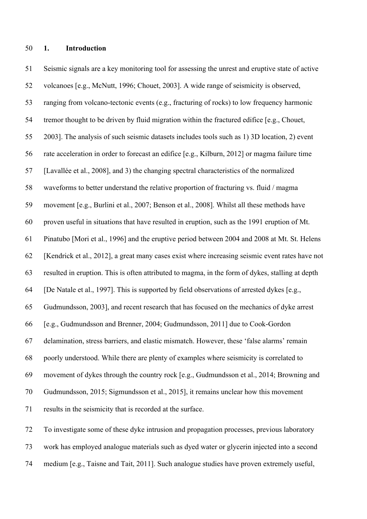#### **1. Introduction**

 Seismic signals are a key monitoring tool for assessing the unrest and eruptive state of active volcanoes [e.g., McNutt, 1996; Chouet, 2003]. A wide range of seismicity is observed, ranging from volcano-tectonic events (e.g., fracturing of rocks) to low frequency harmonic tremor thought to be driven by fluid migration within the fractured edifice [e.g., Chouet, 2003]. The analysis of such seismic datasets includes tools such as 1) 3D location, 2) event rate acceleration in order to forecast an edifice [e.g., Kilburn, 2012] or magma failure time [Lavallée et al., 2008], and 3) the changing spectral characteristics of the normalized waveforms to better understand the relative proportion of fracturing vs. fluid / magma movement [e.g., Burlini et al., 2007; Benson et al., 2008]. Whilst all these methods have proven useful in situations that have resulted in eruption, such as the 1991 eruption of Mt. Pinatubo [Mori et al., 1996] and the eruptive period between 2004 and 2008 at Mt. St. Helens [Kendrick et al., 2012], a great many cases exist where increasing seismic event rates have not resulted in eruption. This is often attributed to magma, in the form of dykes, stalling at depth [De Natale et al., 1997]. This is supported by field observations of arrested dykes [e.g., Gudmundsson, 2003], and recent research that has focused on the mechanics of dyke arrest [e.g., Gudmundsson and Brenner, 2004; Gudmundsson, 2011] due to Cook-Gordon delamination, stress barriers, and elastic mismatch. However, these 'false alarms' remain poorly understood. While there are plenty of examples where seismicity is correlated to movement of dykes through the country rock [e.g., Gudmundsson et al., 2014; Browning and Gudmundsson, 2015; Sigmundsson et al., 2015], it remains unclear how this movement results in the seismicity that is recorded at the surface. To investigate some of these dyke intrusion and propagation processes, previous laboratory

work has employed analogue materials such as dyed water or glycerin injected into a second

medium [e.g., Taisne and Tait, 2011]. Such analogue studies have proven extremely useful,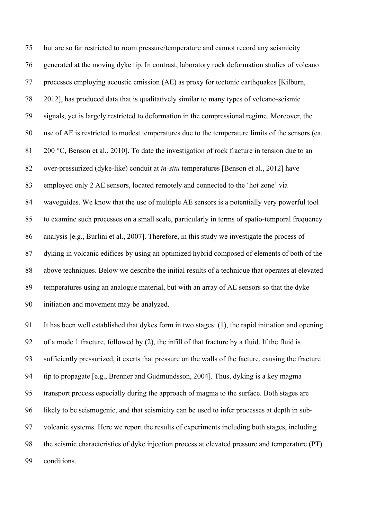but are so far restricted to room pressure/temperature and cannot record any seismicity generated at the moving dyke tip. In contrast, laboratory rock deformation studies of volcano processes employing acoustic emission (AE) as proxy for tectonic earthquakes [Kilburn, 2012], has produced data that is qualitatively similar to many types of volcano-seismic signals, yet is largely restricted to deformation in the compressional regime. Moreover, the use of AE is restricted to modest temperatures due to the temperature limits of the sensors (ca. 81 200 °C, Benson et al., 2010]. To date the investigation of rock fracture in tension due to an over-pressurized (dyke-like) conduit at *in-situ* temperatures [Benson et al., 2012] have employed only 2 AE sensors, located remotely and connected to the 'hot zone' via waveguides. We know that the use of multiple AE sensors is a potentially very powerful tool to examine such processes on a small scale, particularly in terms of spatio-temporal frequency analysis [e.g., Burlini et al., 2007]. Therefore, in this study we investigate the process of dyking in volcanic edifices by using an optimized hybrid composed of elements of both of the above techniques. Below we describe the initial results of a technique that operates at elevated temperatures using an analogue material, but with an array of AE sensors so that the dyke initiation and movement may be analyzed.

 It has been well established that dykes form in two stages: (1), the rapid initiation and opening of a mode 1 fracture, followed by (2), the infill of that fracture by a fluid. If the fluid is sufficiently pressurized, it exerts that pressure on the walls of the facture, causing the fracture tip to propagate [e.g., Brenner and Gudmundsson, 2004]. Thus, dyking is a key magma transport process especially during the approach of magma to the surface. Both stages are likely to be seismogenic, and that seismicity can be used to infer processes at depth in sub- volcanic systems. Here we report the results of experiments including both stages, including the seismic characteristics of dyke injection process at elevated pressure and temperature (PT) conditions.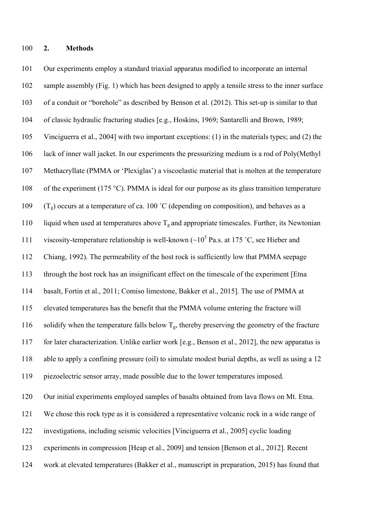Our experiments employ a standard triaxial apparatus modified to incorporate an internal 102 sample assembly (Fig. 1) which has been designed to apply a tensile stress to the inner surface of a conduit or "borehole" as described by Benson et al. (2012). This set-up is similar to that of classic hydraulic fracturing studies [e.g., Hoskins, 1969; Santarelli and Brown, 1989; Vinciguerra et al., 2004] with two important exceptions: (1) in the materials types; and (2) the lack of inner wall jacket. In our experiments the pressurizing medium is a rod of Poly(Methyl Methacryllate (PMMA or 'Plexiglas') a viscoelastic material that is molten at the temperature 108 of the experiment (175 °C). PMMA is ideal for our purpose as its glass transition temperature 109 (T<sub>g</sub>) occurs at a temperature of ca. 100 °C (depending on composition), and behaves as a 110 liquid when used at temperatures above  $T_g$  and appropriate timescales. Further, its Newtonian 111 viscosity-temperature relationship is well-known  $({\sim}10^5$  Pa.s. at 175 °C, see Hieber and Chiang, 1992). The permeability of the host rock is sufficiently low that PMMA seepage through the host rock has an insignificant effect on the timescale of the experiment [Etna basalt, Fortin et al., 2011; Comiso limestone, Bakker et al., 2015]. The use of PMMA at elevated temperatures has the benefit that the PMMA volume entering the fracture will 116 solidify when the temperature falls below  $T_g$ , thereby preserving the geometry of the fracture for later characterization. Unlike earlier work [e.g., Benson et al., 2012], the new apparatus is able to apply a confining pressure (oil) to simulate modest burial depths, as well as using a 12 piezoelectric sensor array, made possible due to the lower temperatures imposed. Our initial experiments employed samples of basalts obtained from lava flows on Mt. Etna. We chose this rock type as it is considered a representative volcanic rock in a wide range of investigations, including seismic velocities [Vinciguerra et al., 2005] cyclic loading

- experiments in compression [Heap et al., 2009] and tension [Benson et al., 2012]. Recent
- work at elevated temperatures (Bakker et al., manuscript in preparation, 2015) has found that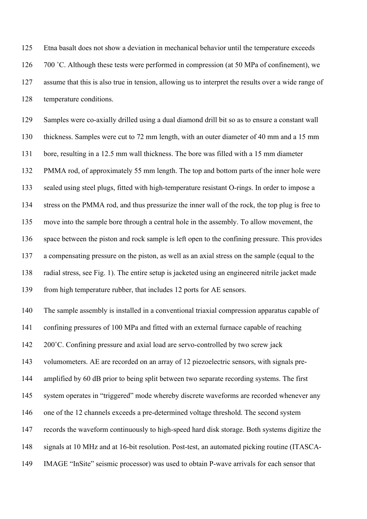Etna basalt does not show a deviation in mechanical behavior until the temperature exceeds 126 700 °C. Although these tests were performed in compression (at 50 MPa of confinement), we assume that this is also true in tension, allowing us to interpret the results over a wide range of temperature conditions.

 Samples were co-axially drilled using a dual diamond drill bit so as to ensure a constant wall thickness. Samples were cut to 72 mm length, with an outer diameter of 40 mm and a 15 mm bore, resulting in a 12.5 mm wall thickness. The bore was filled with a 15 mm diameter PMMA rod, of approximately 55 mm length. The top and bottom parts of the inner hole were sealed using steel plugs, fitted with high-temperature resistant O-rings. In order to impose a stress on the PMMA rod, and thus pressurize the inner wall of the rock, the top plug is free to move into the sample bore through a central hole in the assembly. To allow movement, the space between the piston and rock sample is left open to the confining pressure. This provides a compensating pressure on the piston, as well as an axial stress on the sample (equal to the radial stress, see Fig. 1). The entire setup is jacketed using an engineered nitrile jacket made from high temperature rubber, that includes 12 ports for AE sensors.

 The sample assembly is installed in a conventional triaxial compression apparatus capable of confining pressures of 100 MPa and fitted with an external furnace capable of reaching 200˚C. Confining pressure and axial load are servo-controlled by two screw jack volumometers. AE are recorded on an array of 12 piezoelectric sensors, with signals pre-144 amplified by 60 dB prior to being split between two separate recording systems. The first system operates in "triggered" mode whereby discrete waveforms are recorded whenever any one of the 12 channels exceeds a pre-determined voltage threshold. The second system records the waveform continuously to high-speed hard disk storage. Both systems digitize the signals at 10 MHz and at 16-bit resolution. Post-test, an automated picking routine (ITASCA-IMAGE "InSite" seismic processor) was used to obtain P-wave arrivals for each sensor that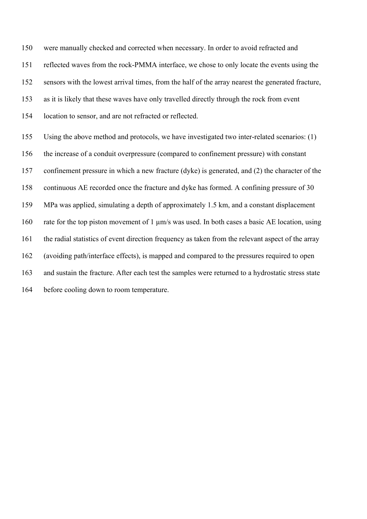were manually checked and corrected when necessary. In order to avoid refracted and reflected waves from the rock-PMMA interface, we chose to only locate the events using the sensors with the lowest arrival times, from the half of the array nearest the generated fracture, as it is likely that these waves have only travelled directly through the rock from event location to sensor, and are not refracted or reflected. Using the above method and protocols, we have investigated two inter-related scenarios: (1) the increase of a conduit overpressure (compared to confinement pressure) with constant confinement pressure in which a new fracture (dyke) is generated, and (2) the character of the continuous AE recorded once the fracture and dyke has formed. A confining pressure of 30

MPa was applied, simulating a depth of approximately 1.5 km, and a constant displacement

rate for the top piston movement of 1 µm/s was used. In both cases a basic AE location, using

the radial statistics of event direction frequency as taken from the relevant aspect of the array

(avoiding path/interface effects), is mapped and compared to the pressures required to open

and sustain the fracture. After each test the samples were returned to a hydrostatic stress state

before cooling down to room temperature.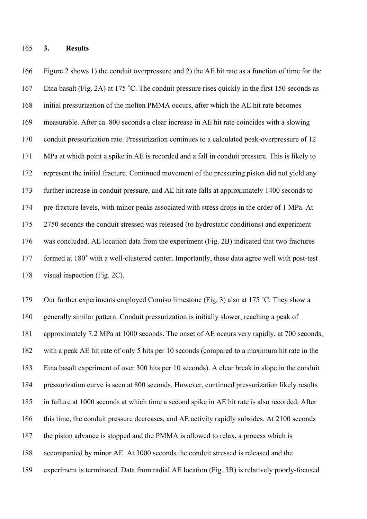#### **3. Results**

 Figure 2 shows 1) the conduit overpressure and 2) the AE hit rate as a function of time for the Etna basalt (Fig. 2A) at 175 **˚**C. The conduit pressure rises quickly in the first 150 seconds as initial pressurization of the molten PMMA occurs, after which the AE hit rate becomes measurable. After ca. 800 seconds a clear increase in AE hit rate coincides with a slowing conduit pressurization rate. Pressurization continues to a calculated peak-overpressure of 12 MPa at which point a spike in AE is recorded and a fall in conduit pressure. This is likely to represent the initial fracture. Continued movement of the pressuring piston did not yield any further increase in conduit pressure, and AE hit rate falls at approximately 1400 seconds to pre-fracture levels, with minor peaks associated with stress drops in the order of 1 MPa. At 2750 seconds the conduit stressed was released (to hydrostatic conditions) and experiment was concluded. AE location data from the experiment (Fig. 2B) indicated that two fractures formed at 180**˚** with a well-clustered center. Importantly, these data agree well with post-test visual inspection (Fig. 2C).

 Our further experiments employed Comiso limestone (Fig. 3) also at 175 ˚C. They show a generally similar pattern. Conduit pressurization is initially slower, reaching a peak of approximately 7.2 MPa at 1000 seconds. The onset of AE occurs very rapidly, at 700 seconds, with a peak AE hit rate of only 5 hits per 10 seconds (compared to a maximum hit rate in the Etna basalt experiment of over 300 hits per 10 seconds). A clear break in slope in the conduit pressurization curve is seen at 800 seconds. However, continued pressurization likely results in failure at 1000 seconds at which time a second spike in AE hit rate is also recorded. After this time, the conduit pressure decreases, and AE activity rapidly subsides. At 2100 seconds the piston advance is stopped and the PMMA is allowed to relax, a process which is accompanied by minor AE. At 3000 seconds the conduit stressed is released and the experiment is terminated. Data from radial AE location (Fig. 3B) is relatively poorly-focused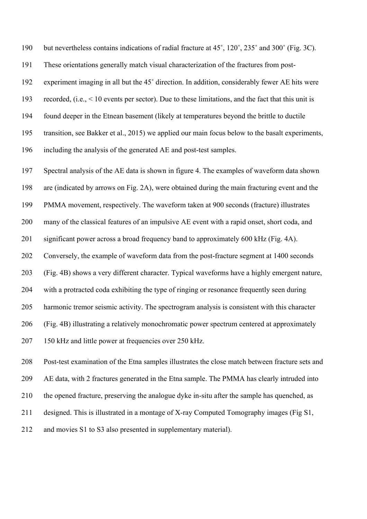but nevertheless contains indications of radial fracture at 45˚, 120˚, 235˚ and 300˚ (Fig. 3C).

These orientations generally match visual characterization of the fractures from post-

experiment imaging in all but the 45˚ direction. In addition, considerably fewer AE hits were

recorded, (i.e., < 10 events per sector). Due to these limitations, and the fact that this unit is

found deeper in the Etnean basement (likely at temperatures beyond the brittle to ductile

transition, see Bakker et al., 2015) we applied our main focus below to the basalt experiments,

including the analysis of the generated AE and post-test samples.

 Spectral analysis of the AE data is shown in figure 4. The examples of waveform data shown are (indicated by arrows on Fig. 2A), were obtained during the main fracturing event and the PMMA movement, respectively. The waveform taken at 900 seconds (fracture) illustrates many of the classical features of an impulsive AE event with a rapid onset, short coda, and significant power across a broad frequency band to approximately 600 kHz (Fig. 4A). Conversely, the example of waveform data from the post-fracture segment at 1400 seconds (Fig. 4B) shows a very different character. Typical waveforms have a highly emergent nature, with a protracted coda exhibiting the type of ringing or resonance frequently seen during harmonic tremor seismic activity. The spectrogram analysis is consistent with this character (Fig. 4B) illustrating a relatively monochromatic power spectrum centered at approximately 207 150 kHz and little power at frequencies over 250 kHz.

 Post-test examination of the Etna samples illustrates the close match between fracture sets and AE data, with 2 fractures generated in the Etna sample. The PMMA has clearly intruded into the opened fracture, preserving the analogue dyke in-situ after the sample has quenched, as designed. This is illustrated in a montage of X-ray Computed Tomography images (Fig S1, and movies S1 to S3 also presented in supplementary material).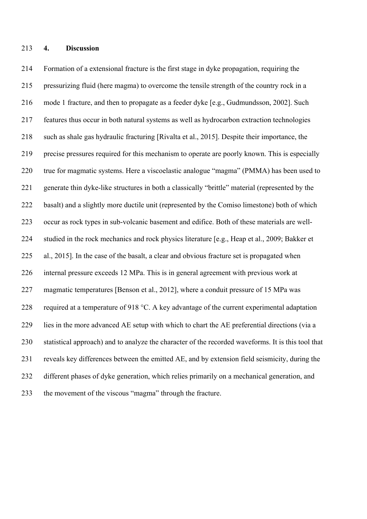Formation of a extensional fracture is the first stage in dyke propagation, requiring the pressurizing fluid (here magma) to overcome the tensile strength of the country rock in a mode 1 fracture, and then to propagate as a feeder dyke [e.g., Gudmundsson, 2002]. Such features thus occur in both natural systems as well as hydrocarbon extraction technologies such as shale gas hydraulic fracturing [Rivalta et al., 2015]. Despite their importance, the precise pressures required for this mechanism to operate are poorly known. This is especially true for magmatic systems. Here a viscoelastic analogue "magma" (PMMA) has been used to generate thin dyke-like structures in both a classically "brittle" material (represented by the basalt) and a slightly more ductile unit (represented by the Comiso limestone) both of which occur as rock types in sub-volcanic basement and edifice. Both of these materials are well- studied in the rock mechanics and rock physics literature [e.g., Heap et al., 2009; Bakker et al., 2015]. In the case of the basalt, a clear and obvious fracture set is propagated when internal pressure exceeds 12 MPa. This is in general agreement with previous work at magmatic temperatures [Benson et al., 2012], where a conduit pressure of 15 MPa was required at a temperature of 918 °C. A key advantage of the current experimental adaptation lies in the more advanced AE setup with which to chart the AE preferential directions (via a statistical approach) and to analyze the character of the recorded waveforms. It is this tool that reveals key differences between the emitted AE, and by extension field seismicity, during the different phases of dyke generation, which relies primarily on a mechanical generation, and the movement of the viscous "magma" through the fracture.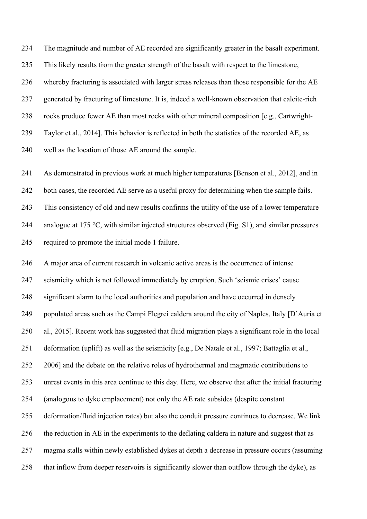The magnitude and number of AE recorded are significantly greater in the basalt experiment. This likely results from the greater strength of the basalt with respect to the limestone, whereby fracturing is associated with larger stress releases than those responsible for the AE generated by fracturing of limestone. It is, indeed a well-known observation that calcite-rich rocks produce fewer AE than most rocks with other mineral composition [e.g., Cartwright- Taylor et al., 2014]. This behavior is reflected in both the statistics of the recorded AE, as well as the location of those AE around the sample.

 As demonstrated in previous work at much higher temperatures [Benson et al., 2012], and in both cases, the recorded AE serve as a useful proxy for determining when the sample fails. This consistency of old and new results confirms the utility of the use of a lower temperature 244 analogue at 175 °C, with similar injected structures observed (Fig. S1), and similar pressures required to promote the initial mode 1 failure.

 A major area of current research in volcanic active areas is the occurrence of intense seismicity which is not followed immediately by eruption. Such 'seismic crises' cause significant alarm to the local authorities and population and have occurred in densely 249 populated areas such as the Campi Flegrei caldera around the city of Naples, Italy [D'Auria et al., 2015]. Recent work has suggested that fluid migration plays a significant role in the local deformation (uplift) as well as the seismicity [e.g., De Natale et al., 1997; Battaglia et al., 2006] and the debate on the relative roles of hydrothermal and magmatic contributions to unrest events in this area continue to this day. Here, we observe that after the initial fracturing (analogous to dyke emplacement) not only the AE rate subsides (despite constant deformation/fluid injection rates) but also the conduit pressure continues to decrease. We link the reduction in AE in the experiments to the deflating caldera in nature and suggest that as magma stalls within newly established dykes at depth a decrease in pressure occurs (assuming that inflow from deeper reservoirs is significantly slower than outflow through the dyke), as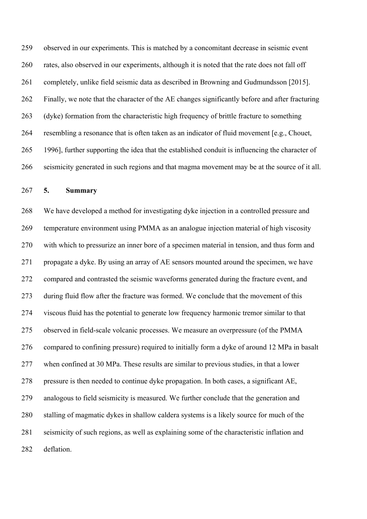observed in our experiments. This is matched by a concomitant decrease in seismic event rates, also observed in our experiments, although it is noted that the rate does not fall off completely, unlike field seismic data as described in Browning and Gudmundsson [2015]. Finally, we note that the character of the AE changes significantly before and after fracturing (dyke) formation from the characteristic high frequency of brittle fracture to something resembling a resonance that is often taken as an indicator of fluid movement [e.g., Chouet, 1996], further supporting the idea that the established conduit is influencing the character of seismicity generated in such regions and that magma movement may be at the source of it all.

#### **5. Summary**

 We have developed a method for investigating dyke injection in a controlled pressure and temperature environment using PMMA as an analogue injection material of high viscosity with which to pressurize an inner bore of a specimen material in tension, and thus form and propagate a dyke. By using an array of AE sensors mounted around the specimen, we have compared and contrasted the seismic waveforms generated during the fracture event, and during fluid flow after the fracture was formed. We conclude that the movement of this viscous fluid has the potential to generate low frequency harmonic tremor similar to that observed in field-scale volcanic processes. We measure an overpressure (of the PMMA compared to confining pressure) required to initially form a dyke of around 12 MPa in basalt when confined at 30 MPa. These results are similar to previous studies, in that a lower pressure is then needed to continue dyke propagation. In both cases, a significant AE, analogous to field seismicity is measured. We further conclude that the generation and stalling of magmatic dykes in shallow caldera systems is a likely source for much of the seismicity of such regions, as well as explaining some of the characteristic inflation and deflation.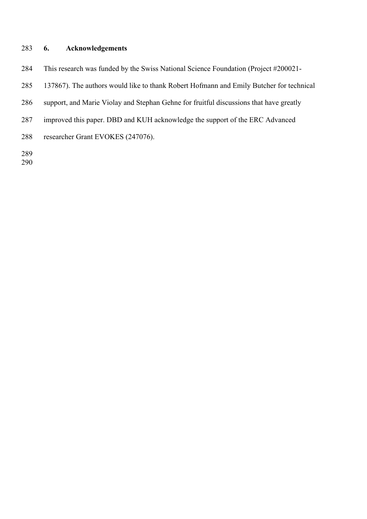## **6. Acknowledgements**

This research was funded by the Swiss National Science Foundation (Project #200021-

- 137867). The authors would like to thank Robert Hofmann and Emily Butcher for technical
- support, and Marie Violay and Stephan Gehne for fruitful discussions that have greatly
- improved this paper. DBD and KUH acknowledge the support of the ERC Advanced
- researcher Grant EVOKES (247076).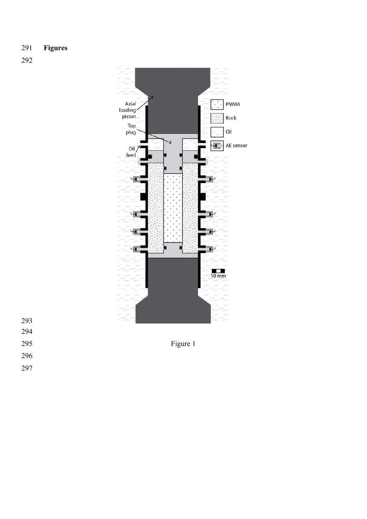## **Figures**





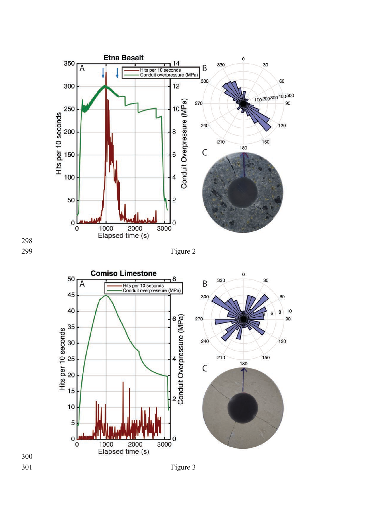



299 Figure 2

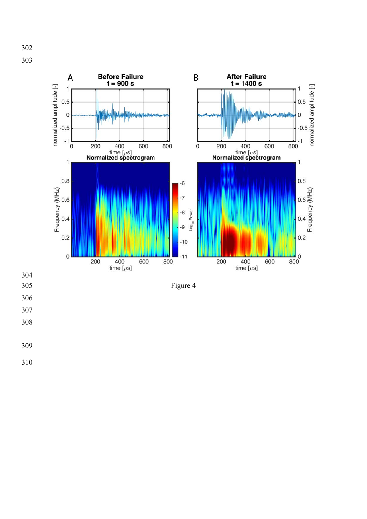

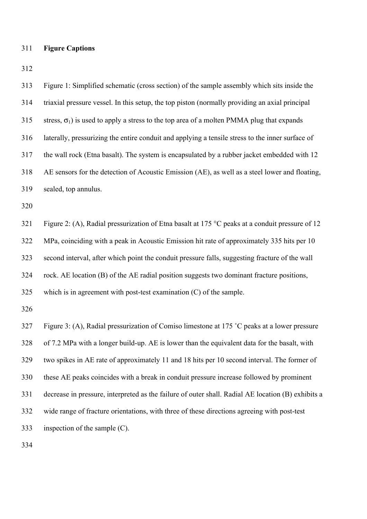# **Figure Captions**

| 313 | Figure 1: Simplified schematic (cross section) of the sample assembly which sits inside the        |
|-----|----------------------------------------------------------------------------------------------------|
| 314 | triaxial pressure vessel. In this setup, the top piston (normally providing an axial principal     |
| 315 | stress, $\sigma_1$ ) is used to apply a stress to the top area of a molten PMMA plug that expands  |
| 316 | laterally, pressurizing the entire conduit and applying a tensile stress to the inner surface of   |
| 317 | the wall rock (Etna basalt). The system is encapsulated by a rubber jacket embedded with 12        |
| 318 | AE sensors for the detection of Acoustic Emission (AE), as well as a steel lower and floating,     |
| 319 | sealed, top annulus.                                                                               |
| 320 |                                                                                                    |
| 321 | Figure 2: (A), Radial pressurization of Etna basalt at 175 °C peaks at a conduit pressure of 12    |
| 322 | MPa, coinciding with a peak in Acoustic Emission hit rate of approximately 335 hits per 10         |
| 323 | second interval, after which point the conduit pressure falls, suggesting fracture of the wall     |
| 324 | rock. AE location (B) of the AE radial position suggests two dominant fracture positions,          |
| 325 | which is in agreement with post-test examination $(C)$ of the sample.                              |
| 326 |                                                                                                    |
| 327 | Figure 3: (A), Radial pressurization of Comiso limestone at 175 °C peaks at a lower pressure       |
| 328 | of 7.2 MPa with a longer build-up. AE is lower than the equivalent data for the basalt, with       |
| 329 | two spikes in AE rate of approximately 11 and 18 hits per 10 second interval. The former of        |
| 330 | these AE peaks coincides with a break in conduit pressure increase followed by prominent           |
| 331 | decrease in pressure, interpreted as the failure of outer shall. Radial AE location (B) exhibits a |
| 332 | wide range of fracture orientations, with three of these directions agreeing with post-test        |
| 333 | inspection of the sample $(C)$ .                                                                   |
| 334 |                                                                                                    |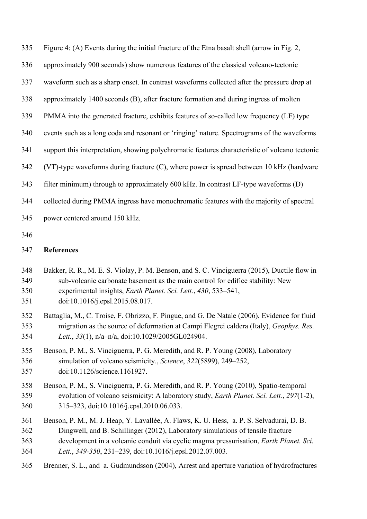| 335 | Figure 4: (A) Events during the initial fracture of the Etna basalt shell (arrow in Fig. 2,    |
|-----|------------------------------------------------------------------------------------------------|
| 336 | approximately 900 seconds) show numerous features of the classical volcano-tectonic            |
| 337 | waveform such as a sharp onset. In contrast waveforms collected after the pressure drop at     |
| 338 | approximately 1400 seconds (B), after fracture formation and during ingress of molten          |
| 339 | PMMA into the generated fracture, exhibits features of so-called low frequency (LF) type       |
| 340 | events such as a long coda and resonant or 'ringing' nature. Spectrograms of the waveforms     |
| 341 | support this interpretation, showing polychromatic features characteristic of volcano tectonic |
| 342 | $(VT)$ -type waveforms during fracture $(C)$ , where power is spread between 10 kHz (hardware  |
| 343 | filter minimum) through to approximately 600 kHz. In contrast LF-type waveforms (D)            |
| 344 | collected during PMMA ingress have monochromatic features with the majority of spectral        |
| 345 | power centered around 150 kHz.                                                                 |
| 346 |                                                                                                |
| 347 | <b>References</b>                                                                              |

- Bakker, R. R., M. E. S. Violay, P. M. Benson, and S. C. Vinciguerra (2015), Ductile flow in sub-volcanic carbonate basement as the main control for edifice stability: New experimental insights, *Earth Planet. Sci. Lett.*, *430*, 533–541,
- doi:10.1016/j.epsl.2015.08.017.
- Battaglia, M., C. Troise, F. Obrizzo, F. Pingue, and G. De Natale (2006), Evidence for fluid migration as the source of deformation at Campi Flegrei caldera (Italy), *Geophys. Res. Lett.*, *33*(1), n/a–n/a, doi:10.1029/2005GL024904.
- Benson, P. M., S. Vinciguerra, P. G. Meredith, and R. P. Young (2008), Laboratory simulation of volcano seismicity., *Science*, *322*(5899), 249–252, doi:10.1126/science.1161927.
- Benson, P. M., S. Vinciguerra, P. G. Meredith, and R. P. Young (2010), Spatio-temporal evolution of volcano seismicity: A laboratory study, *Earth Planet. Sci. Lett.*, *297*(1-2), 315–323, doi:10.1016/j.epsl.2010.06.033.
- Benson, P. M., M. J. Heap, Y. Lavallée, A. Flaws, K. U. Hess, a. P. S. Selvadurai, D. B. Dingwell, and B. Schillinger (2012), Laboratory simulations of tensile fracture development in a volcanic conduit via cyclic magma pressurisation, *Earth Planet. Sci.*
- *Lett.*, *349-350*, 231–239, doi:10.1016/j.epsl.2012.07.003.
- Brenner, S. L., and a. Gudmundsson (2004), Arrest and aperture variation of hydrofractures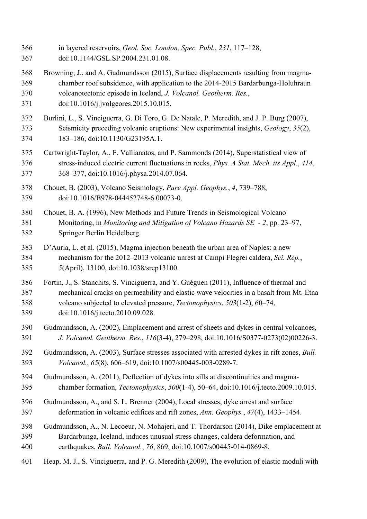- in layered reservoirs, *Geol. Soc. London, Spec. Publ.*, *231*, 117–128,
- doi:10.1144/GSL.SP.2004.231.01.08.
- Browning, J., and A. Gudmundsson (2015), Surface displacements resulting from magma- chamber roof subsidence, with application to the 2014-2015 Bardarbunga-Holuhraun volcanotectonic episode in Iceland, *J. Volcanol. Geotherm. Res.*,
- doi:10.1016/j.jvolgeores.2015.10.015.
- Burlini, L., S. Vinciguerra, G. Di Toro, G. De Natale, P. Meredith, and J. P. Burg (2007), Seismicity preceding volcanic eruptions: New experimental insights, *Geology*, *35*(2), 183–186, doi:10.1130/G23195A.1.
- Cartwright-Taylor, A., F. Vallianatos, and P. Sammonds (2014), Superstatistical view of stress-induced electric current fluctuations in rocks, *Phys. A Stat. Mech. its Appl.*, *414*, 368–377, doi:10.1016/j.physa.2014.07.064.
- Chouet, B. (2003), Volcano Seismology, *Pure Appl. Geophys.*, *4*, 739–788, doi:10.1016/B978-044452748-6.00073-0.
- Chouet, B. A. (1996), New Methods and Future Trends in Seismological Volcano Monitoring, in *Monitoring and Mitigation of Volcano Hazards SE - 2*, pp. 23–97, Springer Berlin Heidelberg.
- D'Auria, L. et al. (2015), Magma injection beneath the urban area of Naples: a new mechanism for the 2012–2013 volcanic unrest at Campi Flegrei caldera, *Sci. Rep.*, *5*(April), 13100, doi:10.1038/srep13100.
- Fortin, J., S. Stanchits, S. Vinciguerra, and Y. Guéguen (2011), Influence of thermal and mechanical cracks on permeability and elastic wave velocities in a basalt from Mt. Etna volcano subjected to elevated pressure, *Tectonophysics*, *503*(1-2), 60–74, doi:10.1016/j.tecto.2010.09.028.
- Gudmundsson, A. (2002), Emplacement and arrest of sheets and dykes in central volcanoes, *J. Volcanol. Geotherm. Res.*, *116*(3-4), 279–298, doi:10.1016/S0377-0273(02)00226-3.
- Gudmundsson, A. (2003), Surface stresses associated with arrested dykes in rift zones, *Bull. Volcanol.*, *65*(8), 606–619, doi:10.1007/s00445-003-0289-7.
- Gudmundsson, A. (2011), Deflection of dykes into sills at discontinuities and magma-chamber formation, *Tectonophysics*, *500*(1-4), 50–64, doi:10.1016/j.tecto.2009.10.015.
- Gudmundsson, A., and S. L. Brenner (2004), Local stresses, dyke arrest and surface deformation in volcanic edifices and rift zones, *Ann. Geophys.*, *47*(4), 1433–1454.
- Gudmundsson, A., N. Lecoeur, N. Mohajeri, and T. Thordarson (2014), Dike emplacement at Bardarbunga, Iceland, induces unusual stress changes, caldera deformation, and earthquakes, *Bull. Volcanol.*, *76*, 869, doi:10.1007/s00445-014-0869-8.
- Heap, M. J., S. Vinciguerra, and P. G. Meredith (2009), The evolution of elastic moduli with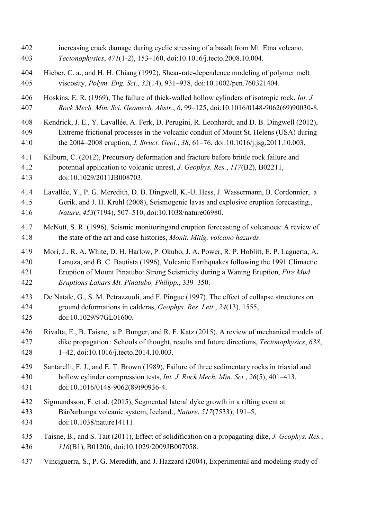- increasing crack damage during cyclic stressing of a basalt from Mt. Etna volcano, *Tectonophysics*, *471*(1-2), 153–160, doi:10.1016/j.tecto.2008.10.004.
- Hieber, C. a., and H. H. Chiang (1992), Shear-rate-dependence modeling of polymer melt viscosity, *Polym. Eng. Sci.*, *32*(14), 931–938, doi:10.1002/pen.760321404.
- Hoskins, E. R. (1969), The failure of thick-walled hollow cylinders of isotropic rock, *Int. J. Rock Mech. Min. Sci. Geomech. Abstr.*, *6*, 99–125, doi:10.1016/0148-9062(69)90030-8.
- Kendrick, J. E., Y. Lavallée, A. Ferk, D. Perugini, R. Leonhardt, and D. B. Dingwell (2012), Extreme frictional processes in the volcanic conduit of Mount St. Helens (USA) during the 2004–2008 eruption, *J. Struct. Geol.*, *38*, 61–76, doi:10.1016/j.jsg.2011.10.003.
- Kilburn, C. (2012), Precursory deformation and fracture before brittle rock failure and potential application to volcanic unrest, *J. Geophys. Res.*, *117*(B2), B02211, doi:10.1029/2011JB008703.
- Lavallée, Y., P. G. Meredith, D. B. Dingwell, K.-U. Hess, J. Wassermann, B. Cordonnier, a Gerik, and J. H. Kruhl (2008), Seismogenic lavas and explosive eruption forecasting., *Nature*, *453*(7194), 507–510, doi:10.1038/nature06980.
- McNutt, S. R. (1996), Seismic monitoringand eruption forecasting of volcanoes: A review of the state of the art and case histories, *Monit. Mitig. volcano hazards*.
- Mori, J., R. A. White, D. H. Harlow, P. Okubo, J. A. Power, R. P. Hoblitt, E. P. Laguerta, A. Lanuza, and B. C. Bautista (1996), Volcanic Earthquakes following the 1991 Climactic Eruption of Mount Pinatubo: Strong Seismicity during a Waning Eruption, *Fire Mud Eruptions Lahars Mt. Pinatubo, Philipp.*, 339–350.
- De Natale, G., S. M. Petrazzuoli, and F. Pingue (1997), The effect of collapse structures on ground deformations in calderas, *Geophys. Res. Lett.*, *24*(13), 1555, doi:10.1029/97GL01600.
- Rivalta, E., B. Taisne, a P. Bunger, and R. F. Katz (2015), A review of mechanical models of dike propagation : Schools of thought, results and future directions, *Tectonophysics*, *638*, 1–42, doi:10.1016/j.tecto.2014.10.003.
- Santarelli, F. J., and E. T. Brown (1989), Failure of three sedimentary rocks in triaxial and hollow cylinder compression tests, *Int. J. Rock Mech. Min. Sci.*, *26*(5), 401–413, doi:10.1016/0148-9062(89)90936-4.
- Sigmundsson, F. et al. (2015), Segmented lateral dyke growth in a rifting event at
- Bárðarbunga volcanic system, Iceland., *Nature*, *517*(7533), 191–5, doi:10.1038/nature14111.
- Taisne, B., and S. Tait (2011), Effect of solidification on a propagating dike, *J. Geophys. Res.*, *116*(B1), B01206, doi:10.1029/2009JB007058.
- Vinciguerra, S., P. G. Meredith, and J. Hazzard (2004), Experimental and modeling study of